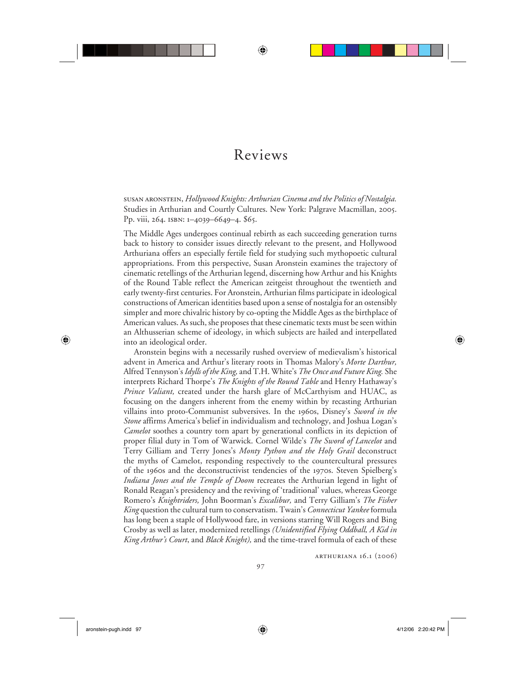## Reviews

⊕

susan aronstein, *Hollywood Knights: Arthurian Cinema and the Politics of Nostalgia.* Studies in Arthurian and Courtly Cultures. New York: Palgrave Macmillan, 2005. Pp. viii, 264. isbn: 1–4039–6649–4. \$65.

The Middle Ages undergoes continual rebirth as each succeeding generation turns back to history to consider issues directly relevant to the present, and Hollywood Arthuriana offers an especially fertile field for studying such mythopoetic cultural appropriations. From this perspective, Susan Aronstein examines the trajectory of cinematic retellings of the Arthurian legend, discerning how Arthur and his Knights of the Round Table reflect the American zeitgeist throughout the twentieth and early twenty-first centuries. For Aronstein, Arthurian films participate in ideological constructions of American identities based upon a sense of nostalgia for an ostensibly simpler and more chivalric history by co-opting the Middle Ages as the birthplace of American values. As such, she proposes that these cinematic texts must be seen within an Althusserian scheme of ideology, in which subjects are hailed and interpellated into an ideological order.

Aronstein begins with a necessarily rushed overview of medievalism's historical advent in America and Arthur's literary roots in Thomas Malory's *Morte Darthur,* Alfred Tennyson's *Idylls of the King,* and T.H. White's *The Once and Future King.* She interprets Richard Thorpe's *The Knights of the Round Table* and Henry Hathaway's *Prince Valiant,* created under the harsh glare of McCarthyism and HUAC, as focusing on the dangers inherent from the enemy within by recasting Arthurian villains into proto-Communist subversives. In the 1960s, Disney's *Sword in the Stone* affirms America's belief in individualism and technology, and Joshua Logan's *Camelot* soothes a country torn apart by generational conflicts in its depiction of proper filial duty in Tom of Warwick. Cornel Wilde's *The Sword of Lancelot* and Terry Gilliam and Terry Jones's *Monty Python and the Holy Grail* deconstruct the myths of Camelot, responding respectively to the countercultural pressures of the 1960s and the deconstructivist tendencies of the 1970s. Steven Spielberg's *Indiana Jones and the Temple of Doom* recreates the Arthurian legend in light of Ronald Reagan's presidency and the reviving of 'traditional' values, whereas George Romero's *Knightriders,* John Boorman's *Excalibur,* and Terry Gilliam's *The Fisher King* question the cultural turn to conservatism. Twain's *Connecticut Yankee* formula has long been a staple of Hollywood fare, in versions starring Will Rogers and Bing Crosby as well as later, modernized retellings *(Unidentified Flying Oddball, A Kid in King Arthur's Court*, and *Black Knight),* and the time-travel formula of each of these

arthuriana 16.1 (2006)

 $\bigoplus$ 

⊕